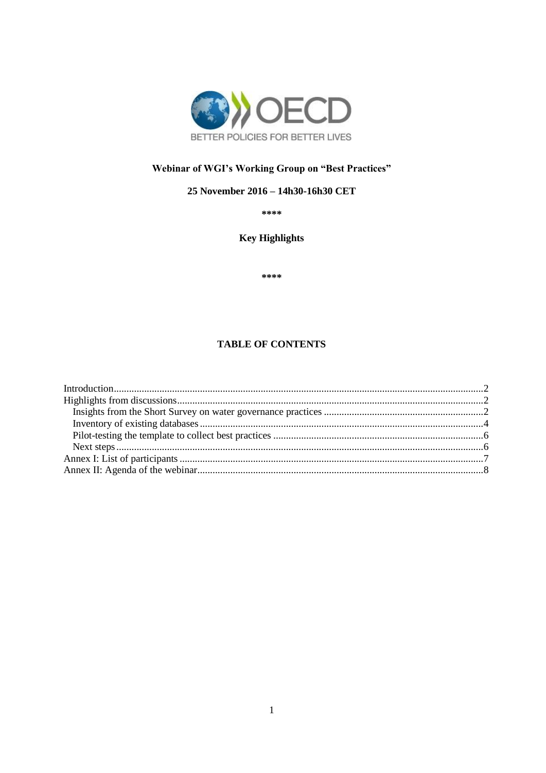

# Webinar of WGI's Working Group on "Best Practices"

## 25 November 2016 - 14h30-16h30 CET

\*\*\*\*

**Key Highlights** 

\*\*\*\*

## **TABLE OF CONTENTS**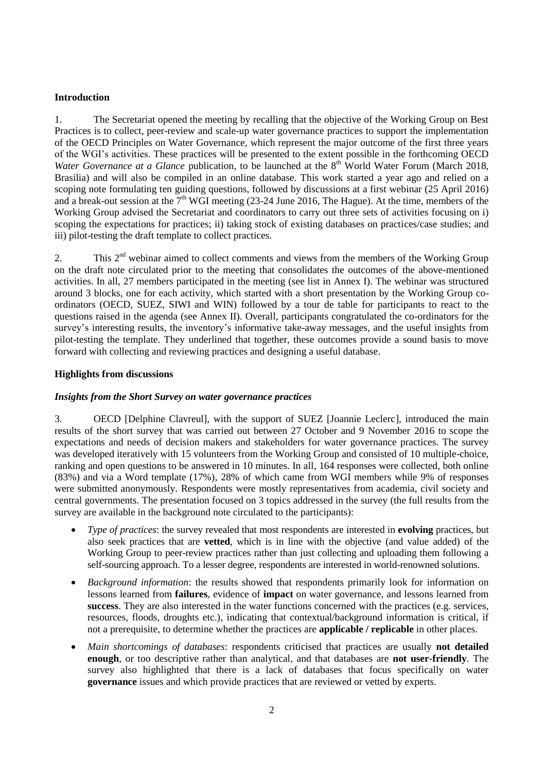### <span id="page-1-0"></span>**Introduction**

1. The Secretariat opened the meeting by recalling that the objective of the Working Group on Best Practices is to collect, peer-review and scale-up water governance practices to support the implementation of the OECD Principles on Water Governance, which represent the major outcome of the first three years of the WGI's activities. These practices will be presented to the extent possible in the forthcoming OECD *Water Governance at a Glance* publication, to be launched at the 8<sup>th</sup> World Water Forum (March 2018, Brasilia) and will also be compiled in an online database. This work started a year ago and relied on a scoping note formulating ten guiding questions, followed by discussions at a first webinar (25 April 2016) and a break-out session at the  $7<sup>th</sup>$  WGI meeting (23-24 June 2016, The Hague). At the time, members of the Working Group advised the Secretariat and coordinators to carry out three sets of activities focusing on i) scoping the expectations for practices; ii) taking stock of existing databases on practices/case studies; and iii) pilot-testing the draft template to collect practices.

2. This 2<sup>nd</sup> webinar aimed to collect comments and views from the members of the Working Group on the draft note circulated prior to the meeting that consolidates the outcomes of the above-mentioned activities. In all, 27 members participated in the meeting (see list in Annex I). The webinar was structured around 3 blocks, one for each activity, which started with a short presentation by the Working Group coordinators (OECD, SUEZ, SIWI and WIN) followed by a tour de table for participants to react to the questions raised in the agenda (see Annex II). Overall, participants congratulated the co-ordinators for the survey's interesting results, the inventory's informative take-away messages, and the useful insights from pilot-testing the template. They underlined that together, these outcomes provide a sound basis to move forward with collecting and reviewing practices and designing a useful database.

#### <span id="page-1-1"></span>**Highlights from discussions**

#### <span id="page-1-2"></span>*Insights from the Short Survey on water governance practices*

3. OECD [Delphine Clavreul], with the support of SUEZ [Joannie Leclerc], introduced the main results of the short survey that was carried out between 27 October and 9 November 2016 to scope the expectations and needs of decision makers and stakeholders for water governance practices. The survey was developed iteratively with 15 volunteers from the Working Group and consisted of 10 multiple-choice, ranking and open questions to be answered in 10 minutes. In all, 164 responses were collected, both online (83%) and via a Word template (17%), 28% of which came from WGI members while 9% of responses were submitted anonymously. Respondents were mostly representatives from academia, civil society and central governments. The presentation focused on 3 topics addressed in the survey (the full results from the survey are available in the background note circulated to the participants):

- *Type of practices*: the survey revealed that most respondents are interested in **evolving** practices, but also seek practices that are **vetted**, which is in line with the objective (and value added) of the Working Group to peer-review practices rather than just collecting and uploading them following a self-sourcing approach. To a lesser degree, respondents are interested in world-renowned solutions.
- *Background information*: the results showed that respondents primarily look for information on lessons learned from **failures**, evidence of **impact** on water governance, and lessons learned from **success**. They are also interested in the water functions concerned with the practices (e.g. services, resources, floods, droughts etc.), indicating that contextual/background information is critical, if not a prerequisite, to determine whether the practices are **applicable / replicable** in other places.
- *Main shortcomings of databases*: respondents criticised that practices are usually **not detailed enough**, or too descriptive rather than analytical, and that databases are **not user-friendly**. The survey also highlighted that there is a lack of databases that focus specifically on water **governance** issues and which provide practices that are reviewed or vetted by experts.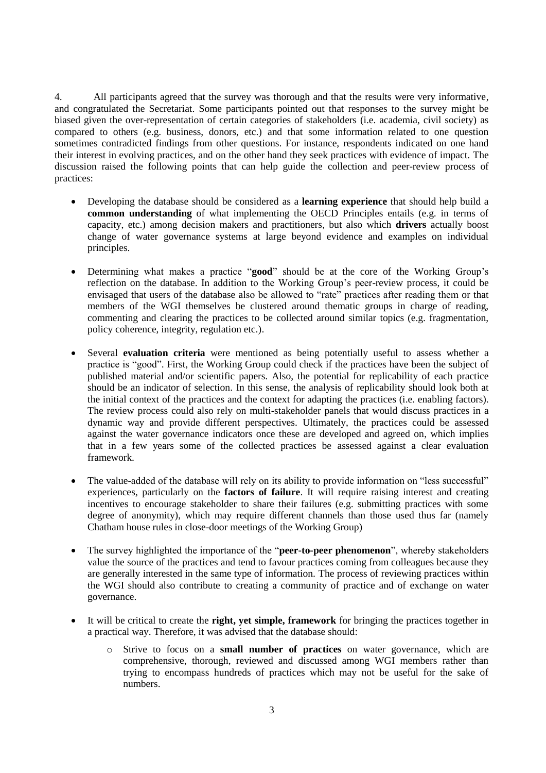4. All participants agreed that the survey was thorough and that the results were very informative, and congratulated the Secretariat. Some participants pointed out that responses to the survey might be biased given the over-representation of certain categories of stakeholders (i.e. academia, civil society) as compared to others (e.g. business, donors, etc.) and that some information related to one question sometimes contradicted findings from other questions. For instance, respondents indicated on one hand their interest in evolving practices, and on the other hand they seek practices with evidence of impact. The discussion raised the following points that can help guide the collection and peer-review process of practices:

- Developing the database should be considered as a **learning experience** that should help build a **common understanding** of what implementing the OECD Principles entails (e.g. in terms of capacity, etc.) among decision makers and practitioners, but also which **drivers** actually boost change of water governance systems at large beyond evidence and examples on individual principles.
- Determining what makes a practice "**good**" should be at the core of the Working Group's reflection on the database. In addition to the Working Group's peer-review process, it could be envisaged that users of the database also be allowed to "rate" practices after reading them or that members of the WGI themselves be clustered around thematic groups in charge of reading, commenting and clearing the practices to be collected around similar topics (e.g. fragmentation, policy coherence, integrity, regulation etc.).
- Several **evaluation criteria** were mentioned as being potentially useful to assess whether a practice is "good". First, the Working Group could check if the practices have been the subject of published material and/or scientific papers. Also, the potential for replicability of each practice should be an indicator of selection. In this sense, the analysis of replicability should look both at the initial context of the practices and the context for adapting the practices (i.e. enabling factors). The review process could also rely on multi-stakeholder panels that would discuss practices in a dynamic way and provide different perspectives. Ultimately, the practices could be assessed against the water governance indicators once these are developed and agreed on, which implies that in a few years some of the collected practices be assessed against a clear evaluation framework.
- The value-added of the database will rely on its ability to provide information on "less successful" experiences, particularly on the **factors of failure**. It will require raising interest and creating incentives to encourage stakeholder to share their failures (e.g. submitting practices with some degree of anonymity), which may require different channels than those used thus far (namely Chatham house rules in close-door meetings of the Working Group)
- The survey highlighted the importance of the "**peer-to-peer phenomenon**", whereby stakeholders value the source of the practices and tend to favour practices coming from colleagues because they are generally interested in the same type of information. The process of reviewing practices within the WGI should also contribute to creating a community of practice and of exchange on water governance.
- It will be critical to create the **right, yet simple, framework** for bringing the practices together in a practical way. Therefore, it was advised that the database should:
	- o Strive to focus on a **small number of practices** on water governance, which are comprehensive, thorough, reviewed and discussed among WGI members rather than trying to encompass hundreds of practices which may not be useful for the sake of numbers.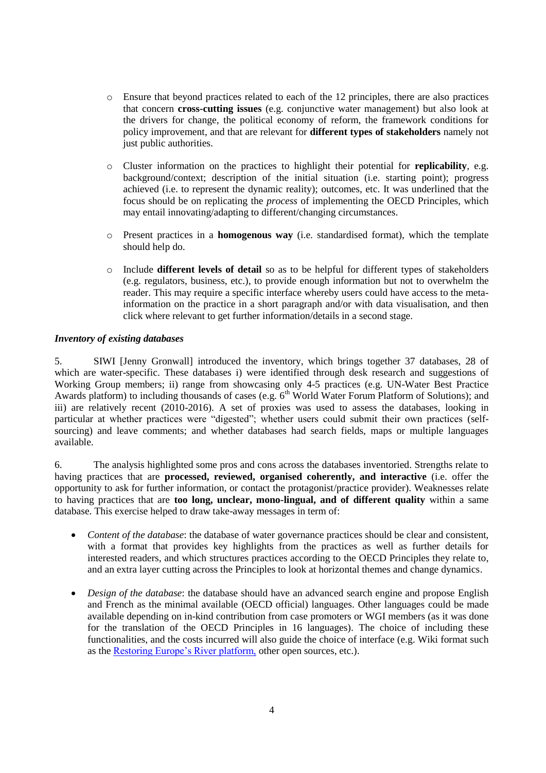- $\circ$  Ensure that beyond practices related to each of the 12 principles, there are also practices that concern **cross-cutting issues** (e.g. conjunctive water management) but also look at the drivers for change, the political economy of reform, the framework conditions for policy improvement, and that are relevant for **different types of stakeholders** namely not just public authorities.
- o Cluster information on the practices to highlight their potential for **replicability**, e.g. background/context; description of the initial situation (i.e. starting point); progress achieved (i.e. to represent the dynamic reality); outcomes, etc. It was underlined that the focus should be on replicating the *process* of implementing the OECD Principles, which may entail innovating/adapting to different/changing circumstances.
- o Present practices in a **homogenous way** (i.e. standardised format), which the template should help do.
- o Include **different levels of detail** so as to be helpful for different types of stakeholders (e.g. regulators, business, etc.), to provide enough information but not to overwhelm the reader. This may require a specific interface whereby users could have access to the metainformation on the practice in a short paragraph and/or with data visualisation, and then click where relevant to get further information/details in a second stage.

## <span id="page-3-0"></span>*Inventory of existing databases*

5. SIWI [Jenny Gronwall] introduced the inventory, which brings together 37 databases, 28 of which are water-specific. These databases i) were identified through desk research and suggestions of Working Group members; ii) range from showcasing only 4-5 practices (e.g. UN-Water Best Practice Awards platform) to including thousands of cases (e.g. 6<sup>th</sup> World Water Forum Platform of Solutions); and iii) are relatively recent (2010-2016). A set of proxies was used to assess the databases, looking in particular at whether practices were "digested"; whether users could submit their own practices (selfsourcing) and leave comments; and whether databases had search fields, maps or multiple languages available.

6. The analysis highlighted some pros and cons across the databases inventoried. Strengths relate to having practices that are **processed, reviewed, organised coherently, and interactive** (i.e. offer the opportunity to ask for further information, or contact the protagonist/practice provider). Weaknesses relate to having practices that are **too long, unclear, mono-lingual, and of different quality** within a same database. This exercise helped to draw take-away messages in term of:

- *Content of the database*: the database of water governance practices should be clear and consistent, with a format that provides key highlights from the practices as well as further details for interested readers, and which structures practices according to the OECD Principles they relate to, and an extra layer cutting across the Principles to look at horizontal themes and change dynamics.
- *Design of the database*: the database should have an advanced search engine and propose English and French as the minimal available (OECD official) languages. Other languages could be made available depending on in-kind contribution from case promoters or WGI members (as it was done for the translation of the OECD Principles in 16 languages). The choice of including these functionalities, and the costs incurred will also guide the choice of interface (e.g. Wiki format such as the [Restoring Europe's River platform,](https://restorerivers.eu/wiki/index.php?title=Main_Page) other open sources, etc.).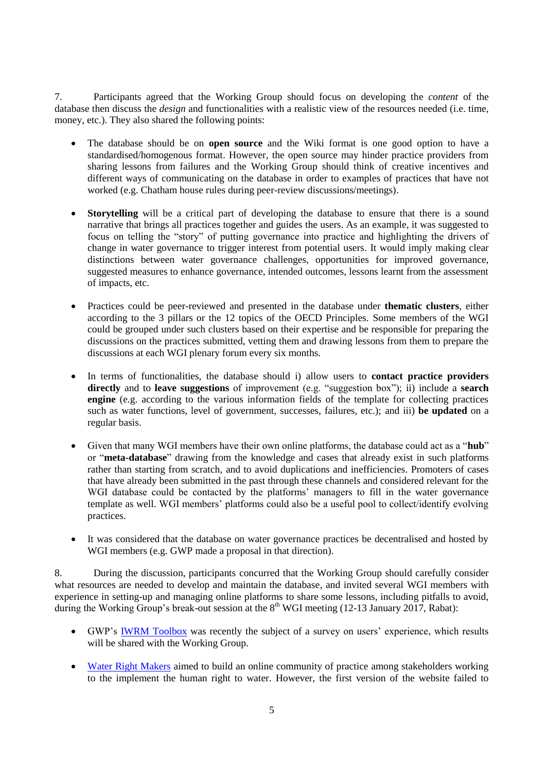7. Participants agreed that the Working Group should focus on developing the *content* of the database then discuss the *design* and functionalities with a realistic view of the resources needed (i.e. time, money, etc.). They also shared the following points:

- The database should be on **open source** and the Wiki format is one good option to have a standardised/homogenous format. However, the open source may hinder practice providers from sharing lessons from failures and the Working Group should think of creative incentives and different ways of communicating on the database in order to examples of practices that have not worked (e.g. Chatham house rules during peer-review discussions/meetings).
- **Storytelling** will be a critical part of developing the database to ensure that there is a sound narrative that brings all practices together and guides the users. As an example, it was suggested to focus on telling the "story" of putting governance into practice and highlighting the drivers of change in water governance to trigger interest from potential users. It would imply making clear distinctions between water governance challenges, opportunities for improved governance, suggested measures to enhance governance, intended outcomes, lessons learnt from the assessment of impacts, etc.
- Practices could be peer-reviewed and presented in the database under **thematic clusters**, either according to the 3 pillars or the 12 topics of the OECD Principles. Some members of the WGI could be grouped under such clusters based on their expertise and be responsible for preparing the discussions on the practices submitted, vetting them and drawing lessons from them to prepare the discussions at each WGI plenary forum every six months.
- In terms of functionalities, the database should i) allow users to **contact practice providers directly** and to **leave suggestions** of improvement (e.g. "suggestion box"); ii) include a **search engine** (e.g. according to the various information fields of the template for collecting practices such as water functions, level of government, successes, failures, etc.); and iii) **be updated** on a regular basis.
- Given that many WGI members have their own online platforms, the database could act as a "**hub**" or "**meta-database**" drawing from the knowledge and cases that already exist in such platforms rather than starting from scratch, and to avoid duplications and inefficiencies. Promoters of cases that have already been submitted in the past through these channels and considered relevant for the WGI database could be contacted by the platforms' managers to fill in the water governance template as well. WGI members' platforms could also be a useful pool to collect/identify evolving practices.
- It was considered that the database on water governance practices be decentralised and hosted by WGI members (e.g. GWP made a proposal in that direction).

8. During the discussion, participants concurred that the Working Group should carefully consider what resources are needed to develop and maintain the database, and invited several WGI members with experience in setting-up and managing online platforms to share some lessons, including pitfalls to avoid, during the Working Group's break-out session at the  $8<sup>th</sup>$  WGI meeting (12-13 January 2017, Rabat):

- GWP's [IWRM Toolbox](http://www.gwp.org/en/ToolBox/CASE-STUDIES/) was recently the subject of a survey on users' experience, which results will be shared with the Working Group.
- [Water Right Makers](http://www.waterrightmakers.com/) aimed to build an online community of practice among stakeholders working to the implement the human right to water. However, the first version of the website failed to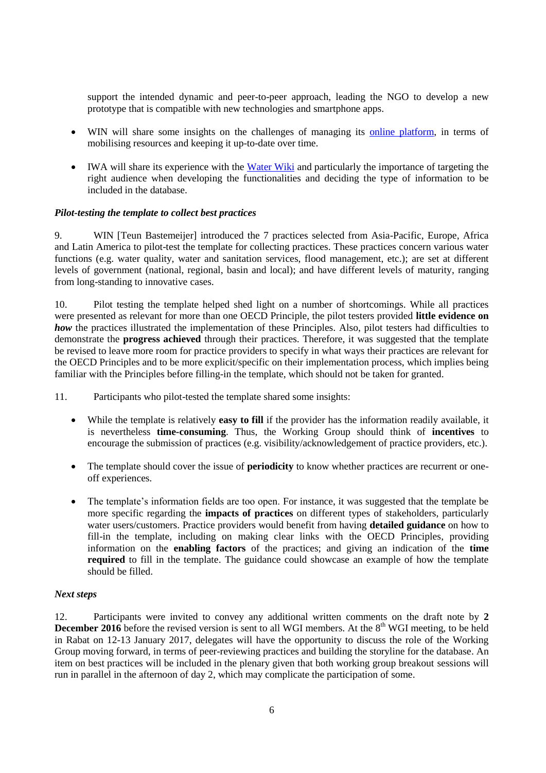support the intended dynamic and peer-to-peer approach, leading the NGO to develop a new prototype that is compatible with new technologies and smartphone apps.

- WIN will share some insights on the challenges of managing its [online platform,](http://www.waterintegritynetwork.net/good-practice/) in terms of mobilising resources and keeping it up-to-date over time.
- IWA will share its experience with the [Water Wiki](http://www.iwapublishing.com/iwa-waterwiki) and particularly the importance of targeting the right audience when developing the functionalities and deciding the type of information to be included in the database.

#### <span id="page-5-0"></span>*Pilot-testing the template to collect best practices*

9. WIN [Teun Bastemeijer] introduced the 7 practices selected from Asia-Pacific, Europe, Africa and Latin America to pilot-test the template for collecting practices. These practices concern various water functions (e.g. water quality, water and sanitation services, flood management, etc.); are set at different levels of government (national, regional, basin and local); and have different levels of maturity, ranging from long-standing to innovative cases.

10. Pilot testing the template helped shed light on a number of shortcomings. While all practices were presented as relevant for more than one OECD Principle, the pilot testers provided **little evidence on**  *how* the practices illustrated the implementation of these Principles. Also, pilot testers had difficulties to demonstrate the **progress achieved** through their practices. Therefore, it was suggested that the template be revised to leave more room for practice providers to specify in what ways their practices are relevant for the OECD Principles and to be more explicit/specific on their implementation process, which implies being familiar with the Principles before filling-in the template, which should not be taken for granted.

11. Participants who pilot-tested the template shared some insights:

- While the template is relatively **easy to fill** if the provider has the information readily available, it is nevertheless **time-consuming**. Thus, the Working Group should think of **incentives** to encourage the submission of practices (e.g. visibility/acknowledgement of practice providers, etc.).
- The template should cover the issue of **periodicity** to know whether practices are recurrent or oneoff experiences.
- The template's information fields are too open. For instance, it was suggested that the template be more specific regarding the **impacts of practices** on different types of stakeholders, particularly water users/customers. Practice providers would benefit from having **detailed guidance** on how to fill-in the template, including on making clear links with the OECD Principles, providing information on the **enabling factors** of the practices; and giving an indication of the **time required** to fill in the template. The guidance could showcase an example of how the template should be filled.

#### <span id="page-5-1"></span>*Next steps*

12. Participants were invited to convey any additional written comments on the draft note by **2 December 2016** before the revised version is sent to all WGI members. At the  $8<sup>th</sup>$  WGI meeting, to be held in Rabat on 12-13 January 2017, delegates will have the opportunity to discuss the role of the Working Group moving forward, in terms of peer-reviewing practices and building the storyline for the database. An item on best practices will be included in the plenary given that both working group breakout sessions will run in parallel in the afternoon of day 2, which may complicate the participation of some.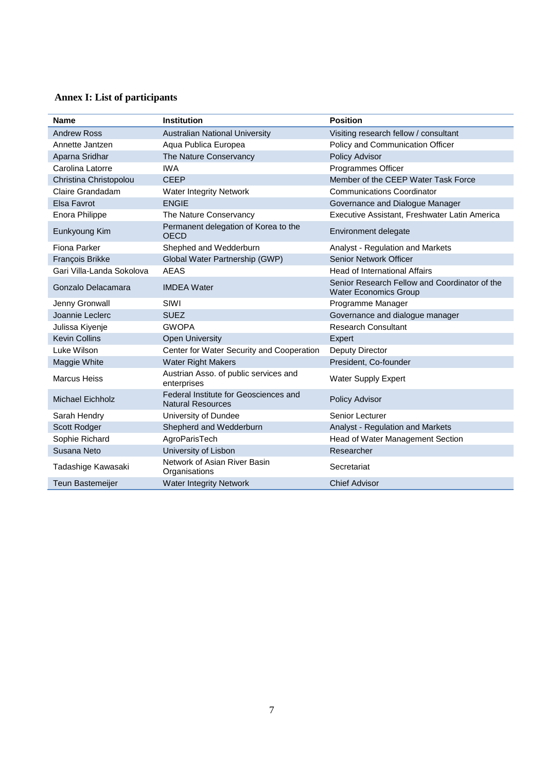# <span id="page-6-0"></span>**Annex I: List of participants**

| <b>Name</b>               | <b>Institution</b>                                                | <b>Position</b>                                                               |
|---------------------------|-------------------------------------------------------------------|-------------------------------------------------------------------------------|
| <b>Andrew Ross</b>        | <b>Australian National University</b>                             | Visiting research fellow / consultant                                         |
| Annette Jantzen           | Aqua Publica Europea                                              | Policy and Communication Officer                                              |
| Aparna Sridhar            | The Nature Conservancy                                            | Policy Advisor                                                                |
| Carolina Latorre          | <b>IWA</b>                                                        | Programmes Officer                                                            |
| Christina Christopolou    | <b>CEEP</b>                                                       | Member of the CEEP Water Task Force                                           |
| Claire Grandadam          | <b>Water Integrity Network</b>                                    | <b>Communications Coordinator</b>                                             |
| Elsa Favrot               | <b>ENGIE</b>                                                      | Governance and Dialogue Manager                                               |
| Enora Philippe            | The Nature Conservancy                                            | Executive Assistant, Freshwater Latin America                                 |
| Eunkyoung Kim             | Permanent delegation of Korea to the<br><b>OECD</b>               | Environment delegate                                                          |
| Fiona Parker              | Shephed and Wedderburn                                            | Analyst - Regulation and Markets                                              |
| François Brikke           | Global Water Partnership (GWP)                                    | Senior Network Officer                                                        |
| Gari Villa-Landa Sokolova | <b>AEAS</b>                                                       | <b>Head of International Affairs</b>                                          |
| Gonzalo Delacamara        | <b>IMDEA</b> Water                                                | Senior Research Fellow and Coordinator of the<br><b>Water Economics Group</b> |
| Jenny Gronwall            | SIWI                                                              | Programme Manager                                                             |
| Joannie Leclerc           | <b>SUEZ</b>                                                       | Governance and dialogue manager                                               |
| Julissa Kiyenje           | <b>GWOPA</b>                                                      | <b>Research Consultant</b>                                                    |
| <b>Kevin Collins</b>      | <b>Open University</b>                                            | Expert                                                                        |
| Luke Wilson               | Center for Water Security and Cooperation                         | <b>Deputy Director</b>                                                        |
| Maggie White              | <b>Water Right Makers</b>                                         | President, Co-founder                                                         |
| <b>Marcus Heiss</b>       | Austrian Asso. of public services and<br>enterprises              | <b>Water Supply Expert</b>                                                    |
| <b>Michael Eichholz</b>   | Federal Institute for Geosciences and<br><b>Natural Resources</b> | <b>Policy Advisor</b>                                                         |
| Sarah Hendry              | University of Dundee                                              | Senior Lecturer                                                               |
| Scott Rodger              | Shepherd and Wedderburn                                           | Analyst - Regulation and Markets                                              |
| Sophie Richard            | AgroParisTech                                                     | Head of Water Management Section                                              |
| Susana Neto               | University of Lisbon                                              | Researcher                                                                    |
| Tadashige Kawasaki        | Network of Asian River Basin<br>Organisations                     | Secretariat                                                                   |
| <b>Teun Bastemeijer</b>   | <b>Water Integrity Network</b>                                    | <b>Chief Advisor</b>                                                          |